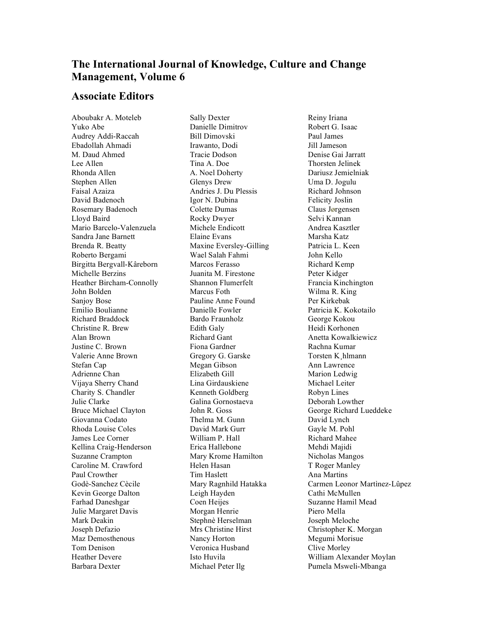## **The International Journal of Knowledge, Culture and Change Management, Volume 6**

## **Associate Editors**

Aboubakr A. Moteleb Yuko Abe Audrey Addi-Raccah Ebadollah Ahmadi M. Daud Ahmed Lee Allen Rhonda Allen Stephen Allen Faisal Azaiza David Badenoch Rosemary Badenoch Lloyd Baird Mario Barcelo-Valenzuela Sandra Jane Barnett Brenda R. Beatty Roberto Bergami Birgitta Bergvall-Kâreborn Michelle Berzins Heather Bircham-Connolly John Bolden Sanjoy Bose Emilio Boulianne Richard Braddock Christine R. Brew Alan Brown Justine C. Brown Valerie Anne Brown Stefan Cap Adrienne Chan Vijaya Sherry Chand Charity S. Chandler Julie Clarke Bruce Michael Clayton Giovanna Codato Rhoda Louise Coles James Lee Corner Kellina Craig-Henderson Suzanne Crampton Caroline M. Crawford Paul Crowther Godè-Sanchez Cècile Kevin George Dalton Farhad Daneshgar Julie Margaret Davis Mark Deakin Joseph Defazio Maz Demosthenous Tom Denison Heather Devere Barbara Dexter

Sally Dexter Danielle Dimitrov Bill Dimovski Irawanto, Dodi Tracie Dodson Tina A. Doe A. Noel Doherty Glenys Drew Andries J. Du Plessis Igor N. Dubina Colette Dumas Rocky Dwyer Michele Endicott Elaine Evans Maxine Eversley-Gilling Wael Salah Fahmi Marcos Ferasso Juanita M. Firestone Shannon Flumerfelt Marcus Foth Pauline Anne Found Danielle Fowler Bardo Fraunholz Edith Galy Richard Gant Fiona Gardner Gregory G. Garske Megan Gibson Elizabeth Gill Lina Girdauskiene Kenneth Goldberg Galina Gornostaeva John R. Goss Thelma M. Gunn David Mark Gurr William P. Hall Erica Hallebone Mary Krome Hamilton Helen Hasan Tim Haslett Mary Ragnhild Hatakka Leigh Hayden Coen Heijes Morgan Henrie Stephnè Herselman Mrs Christine Hirst Nancy Horton Veronica Husband Isto Huvila Michael Peter Ilg

Reiny Iriana Robert G. Isaac Paul James Jill Jameson Denise Gai Jarratt Thorsten Jelinek Dariusz Jemielniak Uma D. Jogulu Richard Johnson Felicity Joslin Claus Jørgensen Selvi Kannan Andrea Kasztler Marsha Katz Patricia L. Keen John Kello Richard Kemp Peter Kidger Francia Kinchington Wilma R. King Per Kirkebak Patricia K. Kokotailo George Kokou Heidi Korhonen Anetta Kowalkiewicz Rachna Kumar Torsten K¸hlmann Ann Lawrence Marion Ledwig Michael Leiter Robyn Lines Deborah Lowther George Richard Lueddeke David Lynch Gayle M. Pohl Richard Mahee Mehdi Majidi Nicholas Mangos T Roger Manley Ana Martins Carmen Leonor Martìnez-Lûpez Cathi McMullen Suzanne Hamil Mead Piero Mella Joseph Meloche Christopher K. Morgan Megumi Morisue Clive Morley William Alexander Moylan Pumela Msweli-Mbanga